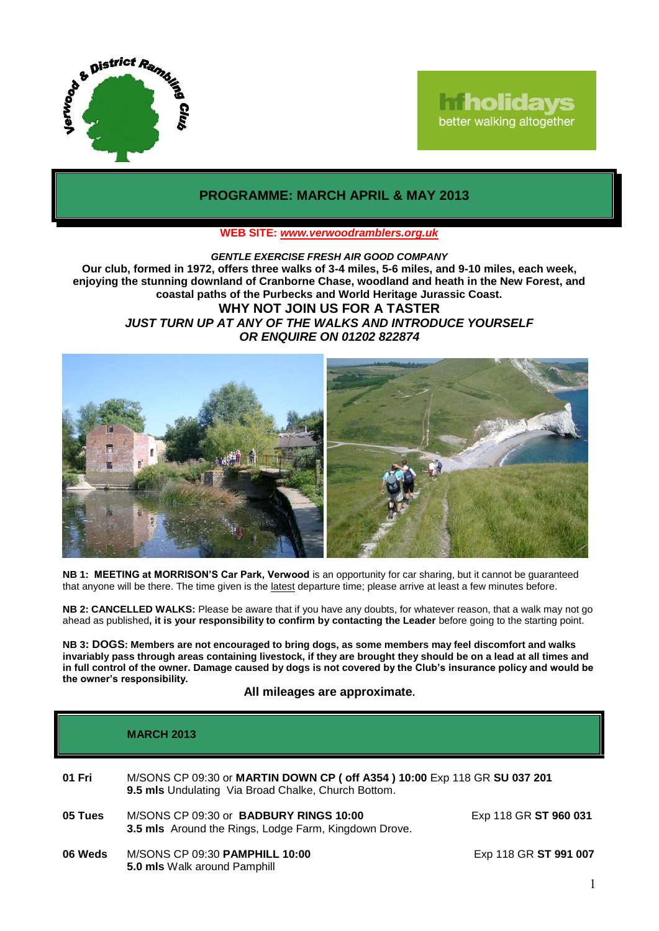

# **Iniholidays** better walking altogether

## **PROGRAMME: MARCH APRIL & MAY 2013**

### **WEB SITE:** *[www.verwoodramblers.org.uk](http://www.verwoodramblers.org.uk/)*

*GENTLE EXERCISE FRESH AIR GOOD COMPANY* **Our club, formed in 1972, offers three walks of 3-4 miles, 5-6 miles, and 9-10 miles, each week, enjoying the stunning downland of Cranborne Chase, woodland and heath in the New Forest, and coastal paths of the Purbecks and World Heritage Jurassic Coast. WHY NOT JOIN US FOR A TASTER** *JUST TURN UP AT ANY OF THE WALKS AND INTRODUCE YOURSELF OR ENQUIRE ON 01202 822874*



**NB 1: MEETING at MORRISON'S Car Park, Verwood** is an opportunity for car sharing, but it cannot be guaranteed that anyone will be there. The time given is the latest departure time; please arrive at least a few minutes before.

**NB 2: CANCELLED WALKS:** Please be aware that if you have any doubts, for whatever reason, that a walk may not go ahead as published**, it is your responsibility to confirm by contacting the Leader** before going to the starting point.

**NB 3: DOGS: Members are not encouraged to bring dogs, as some members may feel discomfort and walks invariably pass through areas containing livestock, if they are brought they should be on a lead at all times and in full control of the owner. Damage caused by dogs is not covered by the Club's insurance policy and would be the owner's responsibility.**

**All mileages are approximate.**

|         | <b>MARCH 2013</b>                                                                                                                 |                       |
|---------|-----------------------------------------------------------------------------------------------------------------------------------|-----------------------|
| 01 Fri  | M/SONS CP 09:30 or MARTIN DOWN CP ( off A354 ) 10:00 Exp 118 GR SU 037 201<br>9.5 mls Undulating Via Broad Chalke, Church Bottom. |                       |
| 05 Tues | M/SONS CP 09:30 or BADBURY RINGS 10:00<br>3.5 mls Around the Rings, Lodge Farm, Kingdown Drove.                                   | Exp 118 GR ST 960 031 |
| 06 Weds | M/SONS CP 09:30 PAMPHILL 10:00<br>5.0 mls Walk around Pamphill                                                                    | Exp 118 GR ST 991 007 |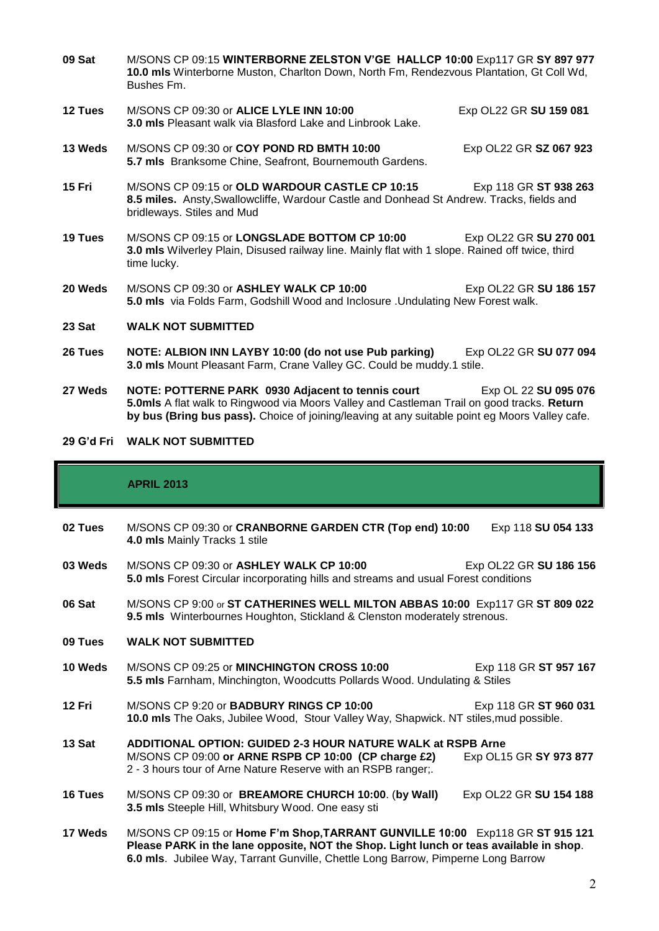- **09 Sat** M/SONS CP 09:15 **WINTERBORNE ZELSTON V'GE HALLCP 10:00** Exp117 GR **SY 897 977 10.0 mls** Winterborne Muston, Charlton Down, North Fm, Rendezvous Plantation, Gt Coll Wd, Bushes Fm.
- **12 Tues** M/SONS CP 09:30 or **ALICE LYLE INN 10:00** Exp OL22 GR **SU 159 081 3.0 mls** Pleasant walk via Blasford Lake and Linbrook Lake.
- **13 Weds** M/SONS CP 09:30 or **COY POND RD BMTH 10:00** Exp OL22 GR **SZ 067 923 5.7 mls** Branksome Chine, Seafront, Bournemouth Gardens.
- **15 Fri** M/SONS CP 09:15 or **OLD WARDOUR CASTLE CP 10:15** Exp 118 GR **ST 938 263 8.5 miles.** Ansty,Swallowcliffe, Wardour Castle and Donhead St Andrew. Tracks, fields and bridleways. Stiles and Mud
- **19 Tues** M/SONS CP 09:15 or **LONGSLADE BOTTOM CP 10:00** Exp OL22 GR **SU 270 001 3.0 mls** Wilverley Plain, Disused railway line. Mainly flat with 1 slope. Rained off twice, third time lucky.
- **20 Weds** M/SONS CP 09:30 or **ASHLEY WALK CP 10:00** Exp OL22 GR **SU 186 157 5.0 mls** via Folds Farm, Godshill Wood and Inclosure .Undulating New Forest walk.
- **23 Sat WALK NOT SUBMITTED**
- **26 Tues NOTE: ALBION INN LAYBY 10:00 (do not use Pub parking)** Exp OL22 GR **SU 077 094 3.0 mls** Mount Pleasant Farm, Crane Valley GC. Could be muddy.1 stile.
- **27 Weds NOTE: POTTERNE PARK 0930 Adjacent to tennis court** Exp OL 22 **SU 095 076 5.0mls** A flat walk to Ringwood via Moors Valley and Castleman Trail on good tracks. **Return by bus (Bring bus pass).** Choice of joining/leaving at any suitable point eg Moors Valley cafe.

#### **29 G'd Fri WALK NOT SUBMITTED**

#### **APRIL 2013**

- **02 Tues** M/SONS CP 09:30 or **CRANBORNE GARDEN CTR (Top end) 10:00** Exp 118 **SU 054 133 4.0 mls** Mainly Tracks 1 stile
- **03 Weds** M/SONS CP 09:30 or **ASHLEY WALK CP 10:00** Exp OL22 GR **SU 186 156 5.0 mls** Forest Circular incorporating hills and streams and usual Forest conditions
- **06 Sat** M/SONS CP 9:00 or **ST CATHERINES WELL MILTON ABBAS 10:00** Exp117 GR **ST 809 022 9.5 mls** Winterbournes Houghton, Stickland & Clenston moderately strenous.
- **09 Tues WALK NOT SUBMITTED**
- **10 Weds** M/SONS CP 09:25 or **MINCHINGTON CROSS 10:00** Exp 118 GR **ST 957 167 5.5 mls** Farnham, Minchington, Woodcutts Pollards Wood. Undulating & Stiles
- **12 Fri** M/SONS CP 9:20 or **BADBURY RINGS CP 10:00** Exp 118 GR **ST 960 031 10.0 mls** The Oaks, Jubilee Wood, Stour Valley Way, Shapwick. NT stiles,mud possible.
- **13 Sat ADDITIONAL OPTION: GUIDED 2-3 HOUR NATURE WALK at RSPB Arne** M/SONS CP 09:00 or ARNE RSPB CP 10:00 (CP charge £2) 2 - 3 hours tour of Arne Nature Reserve with an RSPB ranger;.
- **16 Tues** M/SONS CP 09:30 or **BREAMORE CHURCH 10:00**. (**by Wall)** Exp OL22 GR **SU 154 188 3.5 mls** Steeple Hill, Whitsbury Wood. One easy sti
- **17 Weds** M/SONS CP 09:15 or **Home F'm Shop,TARRANT GUNVILLE 10:00** Exp118 GR **ST 915 121 Please PARK in the lane opposite, NOT the Shop. Light lunch or teas available in shop**. **6.0 mls**. Jubilee Way, Tarrant Gunville, Chettle Long Barrow, Pimperne Long Barrow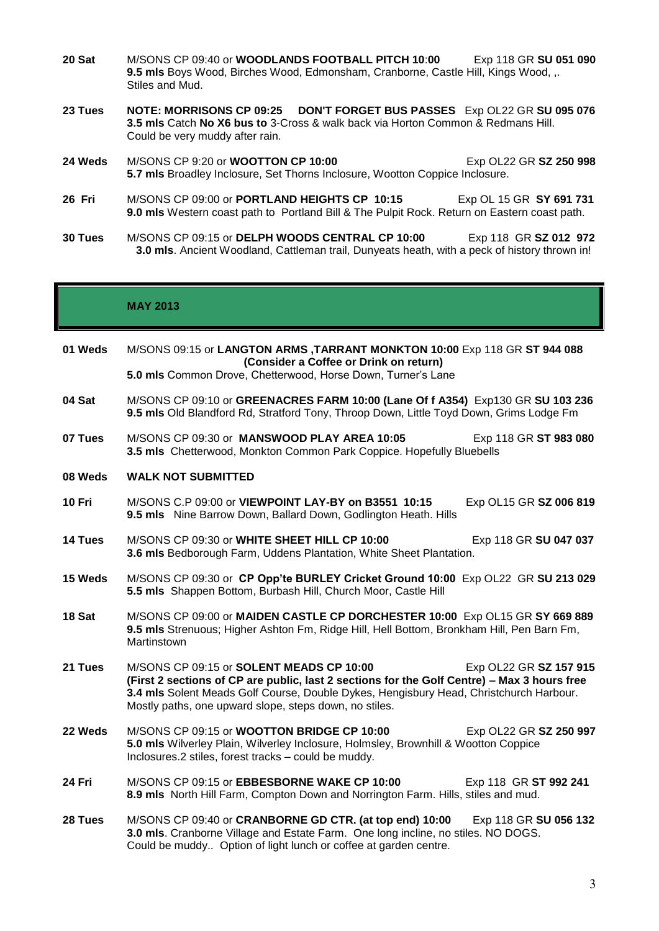- **20 Sat** M/SONS CP 09:40 or **WOODLANDS FOOTBALL PITCH 10**:**00** Exp 118 GR **SU 051 090 9.5 mls** Boys Wood, Birches Wood, Edmonsham, Cranborne, Castle Hill, Kings Wood, ,. Stiles and Mud.
- **23 Tues NOTE: MORRISONS CP 09:25 DON'T FORGET BUS PASSES** Exp OL22 GR **SU 095 076 3.5 mls** Catch **No X6 bus to** 3-Cross & walk back via Horton Common & Redmans Hill. Could be very muddy after rain.
- **24 Weds** M/SONS CP 9:20 or **WOOTTON CP 10:00** Exp OL22 GR **SZ 250 998 5.7 mls** Broadley Inclosure, Set Thorns Inclosure, Wootton Coppice Inclosure.
- **26 Fri** M/SONS CP 09:00 or **PORTLAND HEIGHTS CP 10:15** Exp OL 15 GR **SY 691 731 9.0 mls** Western coast path to Portland Bill & The Pulpit Rock. Return on Eastern coast path.
- **30 Tues** M/SONS CP 09:15 or **DELPH WOODS CENTRAL CP 10:00** Exp 118 GR **SZ 012 972 3.0 mls**. Ancient Woodland, Cattleman trail, Dunyeats heath, with a peck of history thrown in!

### **MAY 2013**

- **01 Weds** M/SONS 09:15 or **LANGTON ARMS ,TARRANT MONKTON 10:00** Exp 118 GR **ST 944 088 (Consider a Coffee or Drink on return) 5.0 mls** Common Drove, Chetterwood, Horse Down, Turner's Lane
- **04 Sat** M/SONS CP 09:10 or **GREENACRES FARM 10:00 (Lane Of f A354)** Exp130 GR **SU 103 236 9.5 mls** Old Blandford Rd, Stratford Tony, Throop Down, Little Toyd Down, Grims Lodge Fm
- **07 Tues** M/SONS CP 09:30 or **MANSWOOD PLAY AREA 10:05** Exp 118 GR **ST 983 080 3.5 mls** Chetterwood, Monkton Common Park Coppice. Hopefully Bluebells
- **08 Weds WALK NOT SUBMITTED**
- **10 Fri** M/SONS C.P 09:00 or **VIEWPOINT LAY-BY on B3551 10:15** Exp OL15 GR **SZ 006 819 9.5 mls** Nine Barrow Down, Ballard Down, Godlington Heath. Hills
- **14 Tues** M/SONS CP 09:30 or **WHITE SHEET HILL CP 10:00** Exp 118 GR **SU 047 037 3.6 mls** Bedborough Farm, Uddens Plantation, White Sheet Plantation.
- **15 Weds** M/SONS CP 09:30 or **CP Opp'te BURLEY Cricket Ground 10:00** Exp OL22 GR **SU 213 029 5.5 mls** Shappen Bottom, Burbash Hill, Church Moor, Castle Hill
- **18 Sat** M/SONS CP 09:00 or **MAIDEN CASTLE CP DORCHESTER 10:00** Exp OL15 GR **SY 669 889 9.5 mls** Strenuous; Higher Ashton Fm, Ridge Hill, Hell Bottom, Bronkham Hill, Pen Barn Fm, **Martinstown**
- **21 Tues** M/SONS CP 09:15 or **SOLENT MEADS CP 10:00** Exp OL22 GR **SZ 157 915 (First 2 sections of CP are public, last 2 sections for the Golf Centre) – Max 3 hours free 3.4 mls** Solent Meads Golf Course, Double Dykes, Hengisbury Head, Christchurch Harbour. Mostly paths, one upward slope, steps down, no stiles.
- **22 Weds** M/SONS CP 09:15 or **WOOTTON BRIDGE CP 10:00** Exp OL22 GR **SZ 250 997 5.0 mls** Wilverley Plain, Wilverley Inclosure, Holmsley, Brownhill & Wootton Coppice Inclosures.2 stiles, forest tracks – could be muddy.
- **24 Fri** M/SONS CP 09:15 or **EBBESBORNE WAKE CP 10:00** Exp 118 GR **ST 992 241 8.9 mls** North Hill Farm, Compton Down and Norrington Farm. Hills, stiles and mud.
- **28 Tues** M/SONS CP 09:40 or **CRANBORNE GD CTR. (at top end) 10:00** Exp 118 GR **SU 056 132 3.0 mls**. Cranborne Village and Estate Farm. One long incline, no stiles. NO DOGS. Could be muddy.. Option of light lunch or coffee at garden centre.